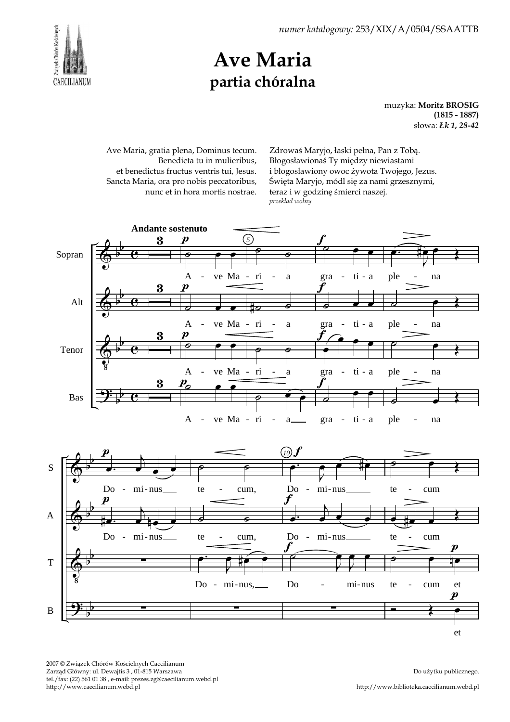Związek Chórów Kościelnych CAECILIANUM

## Ave Maria partia chóralna

muzyka: Moritz BROSIG (1815 - 1887) słowa: Łk 1, 28-42

Ave Maria, gratia plena, Dominus tecum. Benedicta tu in mulieribus, et benedictus fructus ventris tui, Jesus. Sancta Maria, ora pro nobis peccatoribus, nunc et in hora mortis nostrae.

Zdrowaś Maryjo, łaski pełna, Pan z Tobą. Błogosławionaś Ty między niewiastami i błogosławiony owoc żywota Twojego, Jezus. Święta Maryjo, módl się za nami grzesznymi, teraz i w godzinę śmierci naszej. przekład wolny

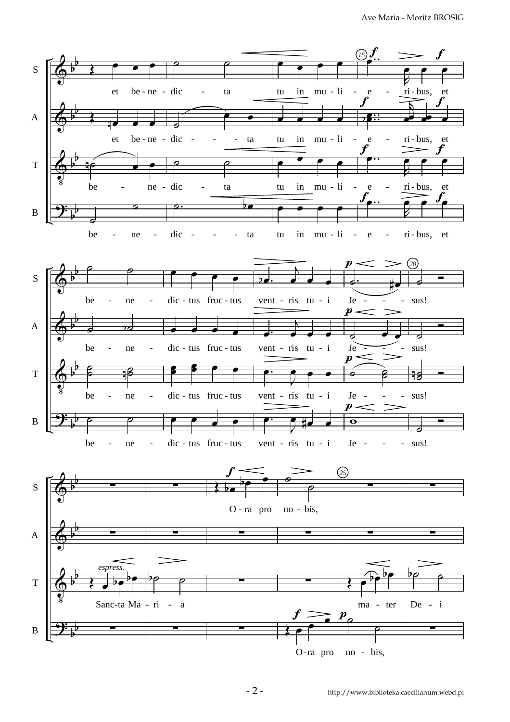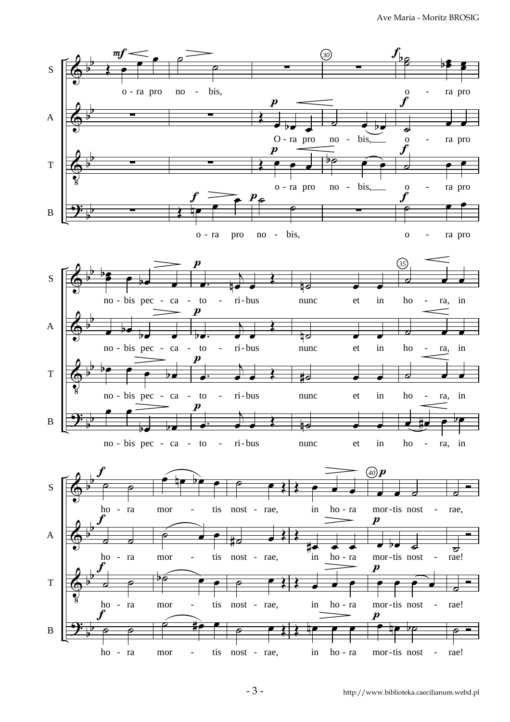